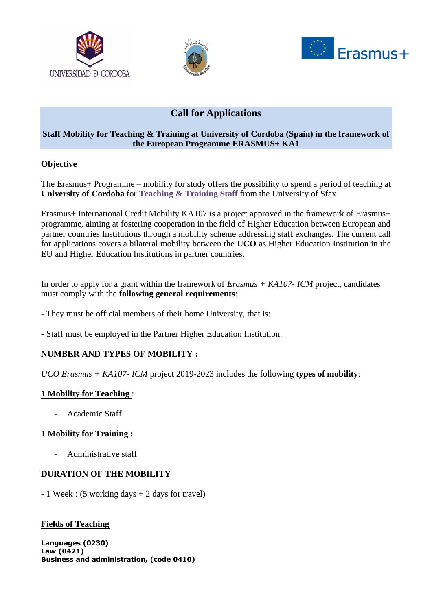





# **Call for Applications**

## **Staff Mobility for Teaching & Training at University of Cordoba (Spain) in the framework of the European Programme ERASMUS+ KA1**

## **Objective**

The Erasmus+ Programme – mobility for study offers the possibility to spend a period of teaching at **University of Cordoba** for **Teaching & Training Staff** from the University of Sfax

Erasmus+ International Credit Mobility KA107 is a project approved in the framework of Erasmus+ programme, aiming at fostering cooperation in the field of Higher Education between European and partner countries Institutions through a mobility scheme addressing staff exchanges. The current call for applications covers a bilateral mobility between the **UCO** as Higher Education Institution in the EU and Higher Education Institutions in partner countries.

In order to apply for a grant within the framework of *Erasmus + KA107- ICM* project, candidates must comply with the **following general requirements**:

- They must be official members of their home University, that is:
- **-** Staff must be employed in the Partner Higher Education Institution.

## **NUMBER AND TYPES OF MOBILITY :**

*UCO Erasmus + KA107- ICM* project 2019-2023 includes the following **types of mobility**:

## **1 Mobility for Teaching** :

- Academic Staff

## **1 Mobility for Training :**

- Administrative staff

## **DURATION OF THE MOBILITY**

- 1 Week : (5 working days + 2 days for travel)

## **Fields of Teaching**

**Languages (0230) Law (0421) Business and administration, (code 0410)**